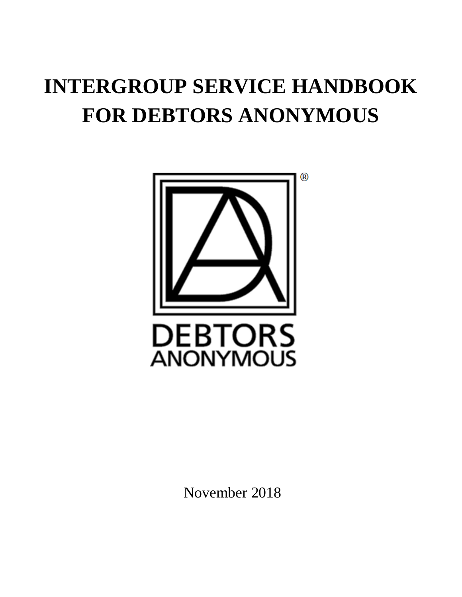# **INTERGROUP SERVICE HANDBOOK FOR DEBTORS ANONYMOUS**



November 2018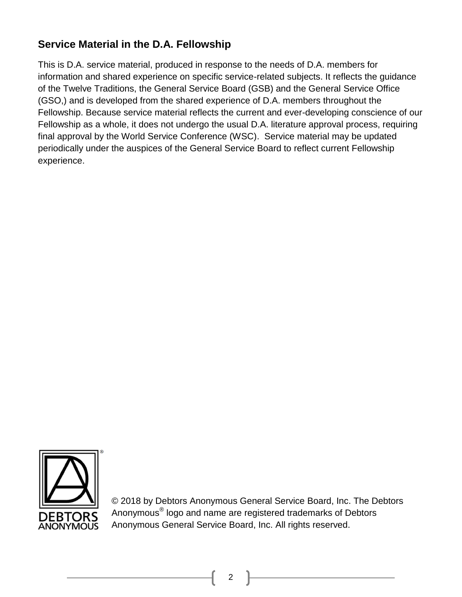# **Service Material in the D.A. Fellowship**

This is D.A. service material, produced in response to the needs of D.A. members for information and shared experience on specific service-related subjects. It reflects the guidance of the Twelve Traditions, the General Service Board (GSB) and the General Service Office (GSO,) and is developed from the shared experience of D.A. members throughout the Fellowship. Because service material reflects the current and ever-developing conscience of our Fellowship as a whole, it does not undergo the usual D.A. literature approval process, requiring final approval by the World Service Conference (WSC). Service material may be updated periodically under the auspices of the General Service Board to reflect current Fellowship experience.



© 2018 by Debtors Anonymous General Service Board, Inc. The Debtors Anonymous<sup>®</sup> logo and name are registered trademarks of Debtors Anonymous General Service Board, Inc. All rights reserved.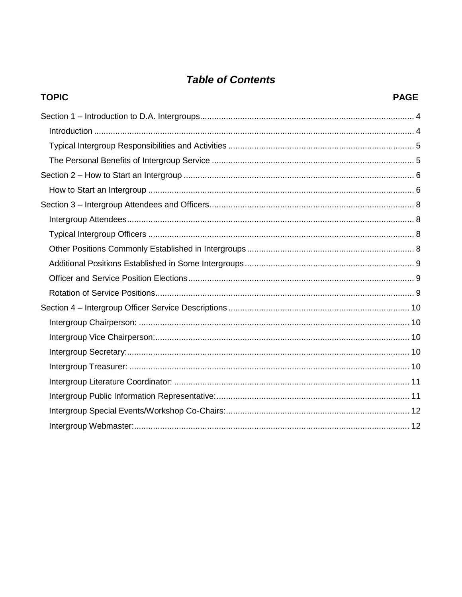# **Table of Contents**

| <b>TOPIC</b> | <b>PAGE</b> |
|--------------|-------------|
|              |             |
|              |             |
|              |             |
|              |             |
|              |             |
|              |             |
|              |             |
|              |             |
|              |             |
|              |             |
|              |             |
|              |             |
|              |             |
|              |             |
|              |             |
|              |             |
|              |             |
|              |             |
|              |             |
|              |             |
|              |             |
|              |             |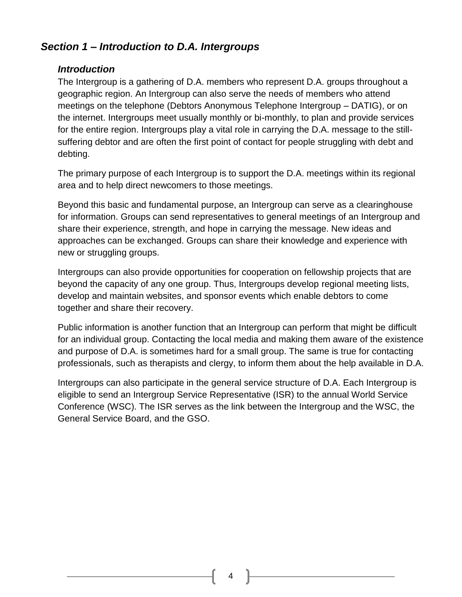# <span id="page-3-1"></span><span id="page-3-0"></span>*Section 1 – Introduction to D.A. Intergroups*

#### *Introduction*

The Intergroup is a gathering of D.A. members who represent D.A. groups throughout a geographic region. An Intergroup can also serve the needs of members who attend meetings on the telephone (Debtors Anonymous Telephone Intergroup – DATIG), or on the internet. Intergroups meet usually monthly or bi-monthly, to plan and provide services for the entire region. Intergroups play a vital role in carrying the D.A. message to the stillsuffering debtor and are often the first point of contact for people struggling with debt and debting.

The primary purpose of each Intergroup is to support the D.A. meetings within its regional area and to help direct newcomers to those meetings.

Beyond this basic and fundamental purpose, an Intergroup can serve as a clearinghouse for information. Groups can send representatives to general meetings of an Intergroup and share their experience, strength, and hope in carrying the message. New ideas and approaches can be exchanged. Groups can share their knowledge and experience with new or struggling groups.

Intergroups can also provide opportunities for cooperation on fellowship projects that are beyond the capacity of any one group. Thus, Intergroups develop regional meeting lists, develop and maintain websites, and sponsor events which enable debtors to come together and share their recovery.

Public information is another function that an Intergroup can perform that might be difficult for an individual group. Contacting the local media and making them aware of the existence and purpose of D.A. is sometimes hard for a small group. The same is true for contacting professionals, such as therapists and clergy, to inform them about the help available in D.A.

Intergroups can also participate in the general service structure of D.A. Each Intergroup is eligible to send an Intergroup Service Representative (ISR) to the annual World Service Conference (WSC). The ISR serves as the link between the Intergroup and the WSC, the General Service Board, and the GSO.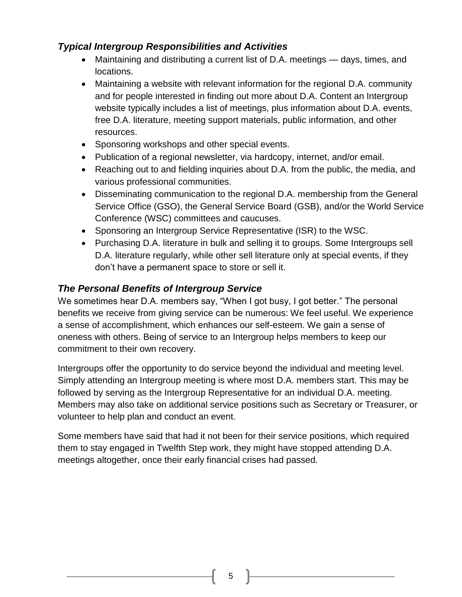# <span id="page-4-0"></span>*Typical Intergroup Responsibilities and Activities*

- Maintaining and distributing a current list of D.A. meetings days, times, and locations.
- Maintaining a website with relevant information for the regional D.A. community and for people interested in finding out more about D.A. Content an Intergroup website typically includes a list of meetings, plus information about D.A. events, free D.A. literature, meeting support materials, public information, and other resources.
- Sponsoring workshops and other special events.
- Publication of a regional newsletter, via hardcopy, internet, and/or email.
- Reaching out to and fielding inquiries about D.A. from the public, the media, and various professional communities.
- Disseminating communication to the regional D.A. membership from the General Service Office (GSO), the General Service Board (GSB), and/or the World Service Conference (WSC) committees and caucuses.
- Sponsoring an Intergroup Service Representative (ISR) to the WSC.
- Purchasing D.A. literature in bulk and selling it to groups. Some Intergroups sell D.A. literature regularly, while other sell literature only at special events, if they don't have a permanent space to store or sell it.

# <span id="page-4-1"></span>*The Personal Benefits of Intergroup Service*

We sometimes hear D.A. members say, "When I got busy, I got better." The personal benefits we receive from giving service can be numerous: We feel useful. We experience a sense of accomplishment, which enhances our self-esteem. We gain a sense of oneness with others. Being of service to an Intergroup helps members to keep our commitment to their own recovery.

Intergroups offer the opportunity to do service beyond the individual and meeting level. Simply attending an Intergroup meeting is where most D.A. members start. This may be followed by serving as the Intergroup Representative for an individual D.A. meeting. Members may also take on additional service positions such as Secretary or Treasurer, or volunteer to help plan and conduct an event.

Some members have said that had it not been for their service positions, which required them to stay engaged in Twelfth Step work, they might have stopped attending D.A. meetings altogether, once their early financial crises had passed.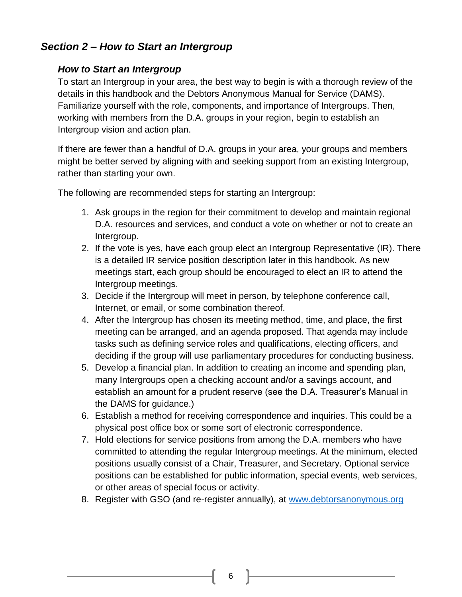# <span id="page-5-1"></span><span id="page-5-0"></span>*Section 2 – How to Start an Intergroup*

## *How to Start an Intergroup*

To start an Intergroup in your area, the best way to begin is with a thorough review of the details in this handbook and the Debtors Anonymous Manual for Service (DAMS). Familiarize yourself with the role, components, and importance of Intergroups. Then, working with members from the D.A. groups in your region, begin to establish an Intergroup vision and action plan.

If there are fewer than a handful of D.A. groups in your area, your groups and members might be better served by aligning with and seeking support from an existing Intergroup, rather than starting your own.

The following are recommended steps for starting an Intergroup:

- 1. Ask groups in the region for their commitment to develop and maintain regional D.A. resources and services, and conduct a vote on whether or not to create an Intergroup.
- 2. If the vote is yes, have each group elect an Intergroup Representative (IR). There is a detailed IR service position description later in this handbook. As new meetings start, each group should be encouraged to elect an IR to attend the Intergroup meetings.
- 3. Decide if the Intergroup will meet in person, by telephone conference call, Internet, or email, or some combination thereof.
- 4. After the Intergroup has chosen its meeting method, time, and place, the first meeting can be arranged, and an agenda proposed. That agenda may include tasks such as defining service roles and qualifications, electing officers, and deciding if the group will use parliamentary procedures for conducting business.
- 5. Develop a financial plan. In addition to creating an income and spending plan, many Intergroups open a checking account and/or a savings account, and establish an amount for a prudent reserve (see the D.A. Treasurer's Manual in the DAMS for guidance.)
- 6. Establish a method for receiving correspondence and inquiries. This could be a physical post office box or some sort of electronic correspondence.
- 7. Hold elections for service positions from among the D.A. members who have committed to attending the regular Intergroup meetings. At the minimum, elected positions usually consist of a Chair, Treasurer, and Secretary. Optional service positions can be established for public information, special events, web services, or other areas of special focus or activity.
- 8. Register with GSO (and re-register annually), at [www.debtorsanonymous.org](http://www.debtorsanonymous.org/)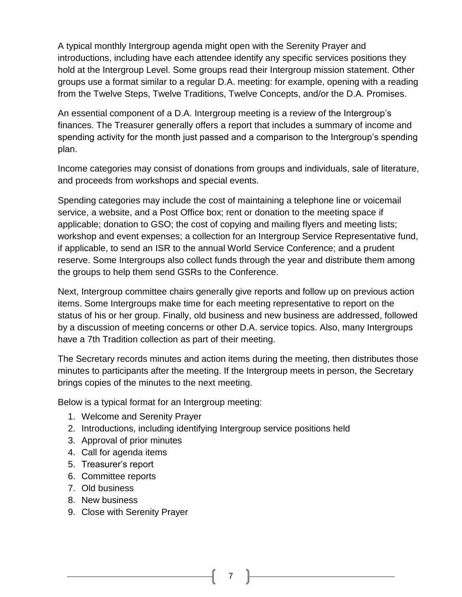A typical monthly Intergroup agenda might open with the Serenity Prayer and introductions, including have each attendee identify any specific services positions they hold at the Intergroup Level. Some groups read their Intergroup mission statement. Other groups use a format similar to a regular D.A. meeting: for example, opening with a reading from the Twelve Steps, Twelve Traditions, Twelve Concepts, and/or the D.A. Promises.

An essential component of a D.A. Intergroup meeting is a review of the Intergroup's finances. The Treasurer generally offers a report that includes a summary of income and spending activity for the month just passed and a comparison to the Intergroup's spending plan.

Income categories may consist of donations from groups and individuals, sale of literature, and proceeds from workshops and special events.

Spending categories may include the cost of maintaining a telephone line or voicemail service, a website, and a Post Office box; rent or donation to the meeting space if applicable; donation to GSO; the cost of copying and mailing flyers and meeting lists; workshop and event expenses; a collection for an Intergroup Service Representative fund, if applicable, to send an ISR to the annual World Service Conference; and a prudent reserve. Some Intergroups also collect funds through the year and distribute them among the groups to help them send GSRs to the Conference.

Next, Intergroup committee chairs generally give reports and follow up on previous action items. Some Intergroups make time for each meeting representative to report on the status of his or her group. Finally, old business and new business are addressed, followed by a discussion of meeting concerns or other D.A. service topics. Also, many Intergroups have a 7th Tradition collection as part of their meeting.

The Secretary records minutes and action items during the meeting, then distributes those minutes to participants after the meeting. If the Intergroup meets in person, the Secretary brings copies of the minutes to the next meeting.

Below is a typical format for an Intergroup meeting:

- 1. Welcome and Serenity Prayer
- 2. Introductions, including identifying Intergroup service positions held
- 3. Approval of prior minutes
- 4. Call for agenda items
- 5. Treasurer's report
- 6. Committee reports
- 7. Old business
- 8. New business
- 9. Close with Serenity Prayer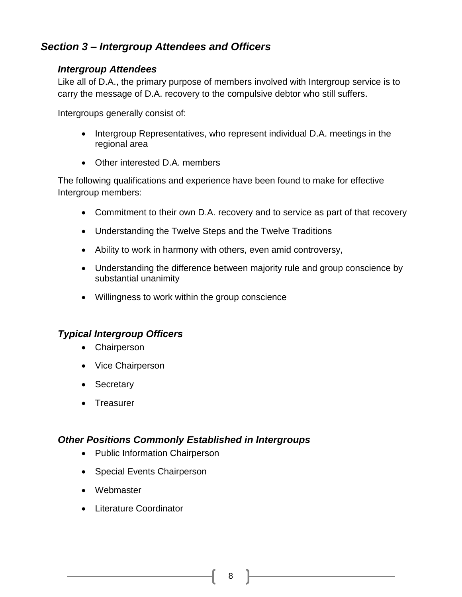# <span id="page-7-1"></span><span id="page-7-0"></span>*Section 3 – Intergroup Attendees and Officers*

#### *Intergroup Attendees*

Like all of D.A., the primary purpose of members involved with Intergroup service is to carry the message of D.A. recovery to the compulsive debtor who still suffers.

Intergroups generally consist of:

- Intergroup Representatives, who represent individual D.A. meetings in the regional area
- Other interested D.A. members

The following qualifications and experience have been found to make for effective Intergroup members:

- Commitment to their own D.A. recovery and to service as part of that recovery
- Understanding the Twelve Steps and the Twelve Traditions
- Ability to work in harmony with others, even amid controversy,
- Understanding the difference between majority rule and group conscience by substantial unanimity
- Willingness to work within the group conscience

#### <span id="page-7-2"></span>*Typical Intergroup Officers*

- Chairperson
- Vice Chairperson
- Secretary
- Treasurer

#### <span id="page-7-3"></span>*Other Positions Commonly Established in Intergroups*

- Public Information Chairperson
- Special Events Chairperson
- Webmaster
- Literature Coordinator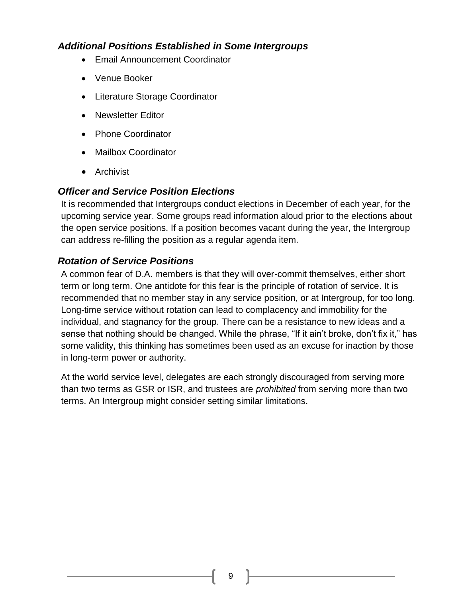# <span id="page-8-0"></span>*Additional Positions Established in Some Intergroups*

- Email Announcement Coordinator
- Venue Booker
- Literature Storage Coordinator
- Newsletter Editor
- Phone Coordinator
- Mailbox Coordinator
- Archivist

## <span id="page-8-1"></span>*Officer and Service Position Elections*

It is recommended that Intergroups conduct elections in December of each year, for the upcoming service year. Some groups read information aloud prior to the elections about the open service positions. If a position becomes vacant during the year, the Intergroup can address re-filling the position as a regular agenda item.

# <span id="page-8-2"></span>*Rotation of Service Positions*

A common fear of D.A. members is that they will over-commit themselves, either short term or long term. One antidote for this fear is the principle of rotation of service. It is recommended that no member stay in any service position, or at Intergroup, for too long. Long-time service without rotation can lead to complacency and immobility for the individual, and stagnancy for the group. There can be a resistance to new ideas and a sense that nothing should be changed. While the phrase, "If it ain't broke, don't fix it," has some validity, this thinking has sometimes been used as an excuse for inaction by those in long-term power or authority.

At the world service level, delegates are each strongly discouraged from serving more than two terms as GSR or ISR, and trustees are *prohibited* from serving more than two terms. An Intergroup might consider setting similar limitations.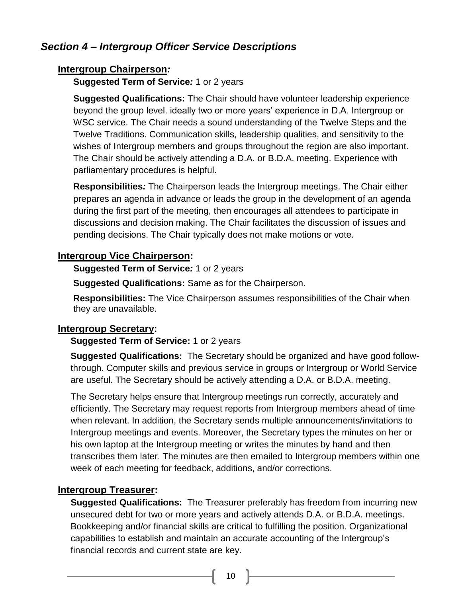# <span id="page-9-1"></span><span id="page-9-0"></span>*Section 4 – Intergroup Officer Service Descriptions*

## **Intergroup Chairperson***:*

**Suggested Term of Service***:* 1 or 2 years

**Suggested Qualifications:** The Chair should have volunteer leadership experience beyond the group level. ideally two or more years' experience in D.A. Intergroup or WSC service. The Chair needs a sound understanding of the Twelve Steps and the Twelve Traditions. Communication skills, leadership qualities, and sensitivity to the wishes of Intergroup members and groups throughout the region are also important. The Chair should be actively attending a D.A. or B.D.A. meeting. Experience with parliamentary procedures is helpful.

**Responsibilities***:* The Chairperson leads the Intergroup meetings. The Chair either prepares an agenda in advance or leads the group in the development of an agenda during the first part of the meeting, then encourages all attendees to participate in discussions and decision making. The Chair facilitates the discussion of issues and pending decisions. The Chair typically does not make motions or vote.

# <span id="page-9-2"></span>**Intergroup Vice Chairperson:**

**Suggested Term of Service***:* 1 or 2 years

**Suggested Qualifications:** Same as for the Chairperson.

**Responsibilities:** The Vice Chairperson assumes responsibilities of the Chair when they are unavailable.

## <span id="page-9-3"></span>**Intergroup Secretary:**

## **Suggested Term of Service:** 1 or 2 years

**Suggested Qualifications:** The Secretary should be organized and have good followthrough. Computer skills and previous service in groups or Intergroup or World Service are useful. The Secretary should be actively attending a D.A. or B.D.A. meeting.

The Secretary helps ensure that Intergroup meetings run correctly, accurately and efficiently. The Secretary may request reports from Intergroup members ahead of time when relevant. In addition, the Secretary sends multiple announcements/invitations to Intergroup meetings and events. Moreover, the Secretary types the minutes on her or his own laptop at the Intergroup meeting or writes the minutes by hand and then transcribes them later. The minutes are then emailed to Intergroup members within one week of each meeting for feedback, additions, and/or corrections.

## <span id="page-9-4"></span>**Intergroup Treasurer:**

**Suggested Qualifications:** The Treasurer preferably has freedom from incurring new unsecured debt for two or more years and actively attends D.A. or B.D.A. meetings. Bookkeeping and/or financial skills are critical to fulfilling the position. Organizational capabilities to establish and maintain an accurate accounting of the Intergroup's financial records and current state are key.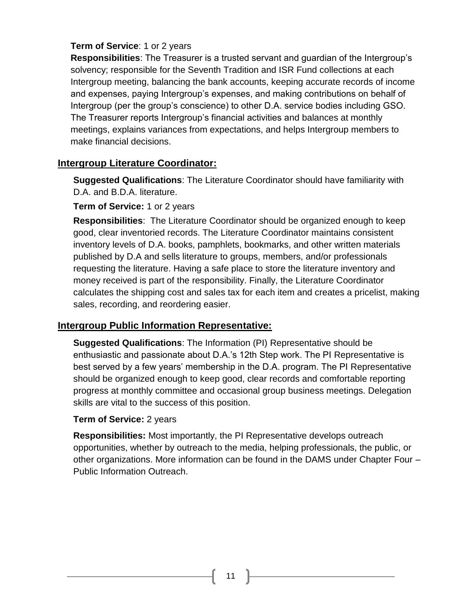## **Term of Service**: 1 or 2 years

**Responsibilities**: The Treasurer is a trusted servant and guardian of the Intergroup's solvency; responsible for the Seventh Tradition and ISR Fund collections at each Intergroup meeting, balancing the bank accounts, keeping accurate records of income and expenses, paying Intergroup's expenses, and making contributions on behalf of Intergroup (per the group's conscience) to other D.A. service bodies including GSO. The Treasurer reports Intergroup's financial activities and balances at monthly meetings, explains variances from expectations, and helps Intergroup members to make financial decisions.

## <span id="page-10-0"></span>**Intergroup Literature Coordinator:**

**Suggested Qualifications**: The Literature Coordinator should have familiarity with D.A. and B.D.A. literature.

#### **Term of Service:** 1 or 2 years

**Responsibilities**: The Literature Coordinator should be organized enough to keep good, clear inventoried records. The Literature Coordinator maintains consistent inventory levels of D.A. books, pamphlets, bookmarks, and other written materials published by D.A and sells literature to groups, members, and/or professionals requesting the literature. Having a safe place to store the literature inventory and money received is part of the responsibility. Finally, the Literature Coordinator calculates the shipping cost and sales tax for each item and creates a pricelist, making sales, recording, and reordering easier.

## <span id="page-10-1"></span>**Intergroup Public Information Representative:**

**Suggested Qualifications**: The Information (PI) Representative should be enthusiastic and passionate about D.A.'s 12th Step work. The PI Representative is best served by a few years' membership in the D.A. program. The PI Representative should be organized enough to keep good, clear records and comfortable reporting progress at monthly committee and occasional group business meetings. Delegation skills are vital to the success of this position.

#### **Term of Service:** 2 years

**Responsibilities:** Most importantly, the PI Representative develops outreach opportunities, whether by outreach to the media, helping professionals, the public, or other organizations. More information can be found in the DAMS under Chapter Four – Public Information Outreach.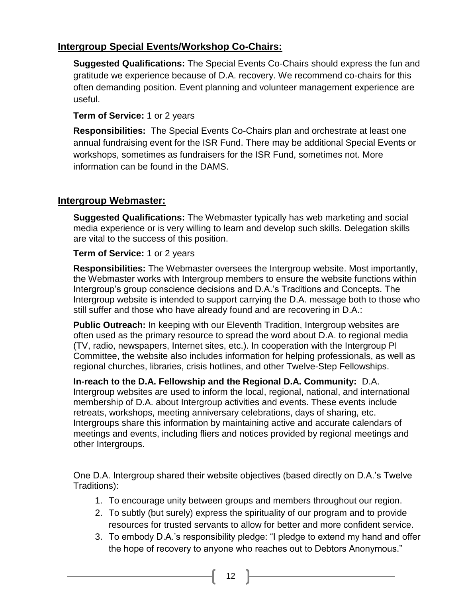# <span id="page-11-0"></span>**Intergroup Special Events/Workshop Co-Chairs:**

**Suggested Qualifications:** The Special Events Co-Chairs should express the fun and gratitude we experience because of D.A. recovery. We recommend co-chairs for this often demanding position. Event planning and volunteer management experience are useful.

#### **Term of Service:** 1 or 2 years

**Responsibilities:** The Special Events Co-Chairs plan and orchestrate at least one annual fundraising event for the ISR Fund. There may be additional Special Events or workshops, sometimes as fundraisers for the ISR Fund, sometimes not. More information can be found in the DAMS.

## <span id="page-11-1"></span>**Intergroup Webmaster:**

**Suggested Qualifications:** The Webmaster typically has web marketing and social media experience or is very willing to learn and develop such skills. Delegation skills are vital to the success of this position.

#### **Term of Service:** 1 or 2 years

**Responsibilities:** The Webmaster oversees the Intergroup website. Most importantly, the Webmaster works with Intergroup members to ensure the website functions within Intergroup's group conscience decisions and D.A.'s Traditions and Concepts. The Intergroup website is intended to support carrying the D.A. message both to those who still suffer and those who have already found and are recovering in D.A.:

**Public Outreach:** In keeping with our Eleventh Tradition, Intergroup websites are often used as the primary resource to spread the word about D.A. to regional media (TV, radio, newspapers, Internet sites, etc.). In cooperation with the Intergroup PI Committee, the website also includes information for helping professionals, as well as regional churches, libraries, crisis hotlines, and other Twelve-Step Fellowships.

**In-reach to the D.A. Fellowship and the Regional D.A. Community:** D.A. Intergroup websites are used to inform the local, regional, national, and international membership of D.A. about Intergroup activities and events. These events include retreats, workshops, meeting anniversary celebrations, days of sharing, etc. Intergroups share this information by maintaining active and accurate calendars of meetings and events, including fliers and notices provided by regional meetings and other Intergroups.

One D.A. Intergroup shared their website objectives (based directly on D.A.'s Twelve Traditions):

- 1. To encourage unity between groups and members throughout our region.
- 2. To subtly (but surely) express the spirituality of our program and to provide resources for trusted servants to allow for better and more confident service.
- 3. To embody D.A.'s responsibility pledge: "I pledge to extend my hand and offer the hope of recovery to anyone who reaches out to Debtors Anonymous."